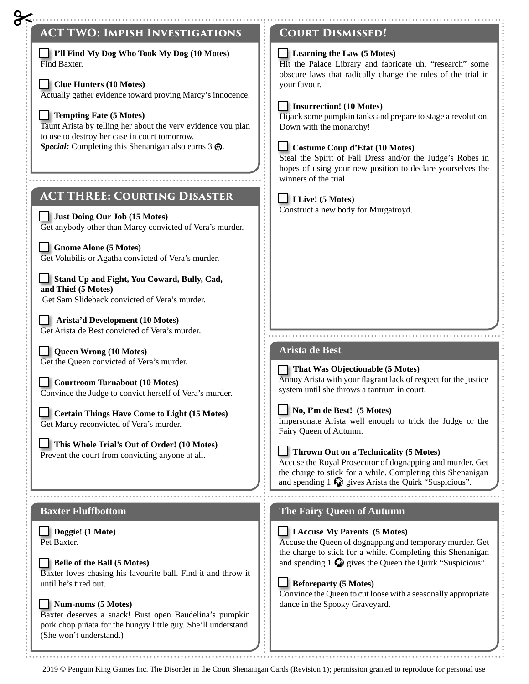

2019 © Penguin King Games Inc. The Disorder in the Court Shenanigan Cards (Revision 1); permission granted to reproduce for personal use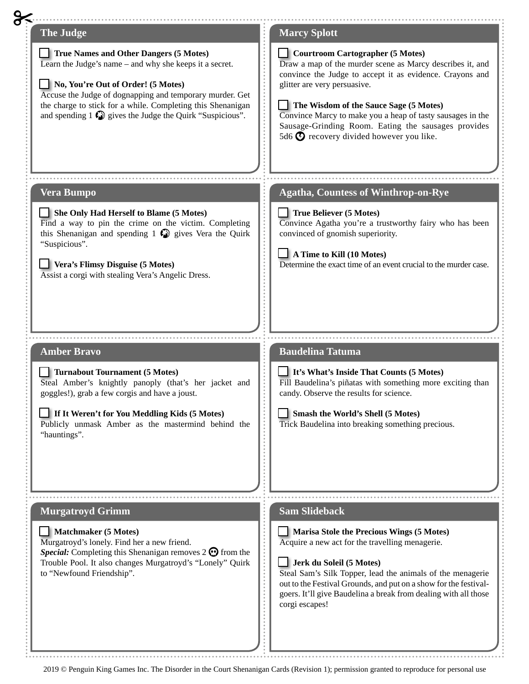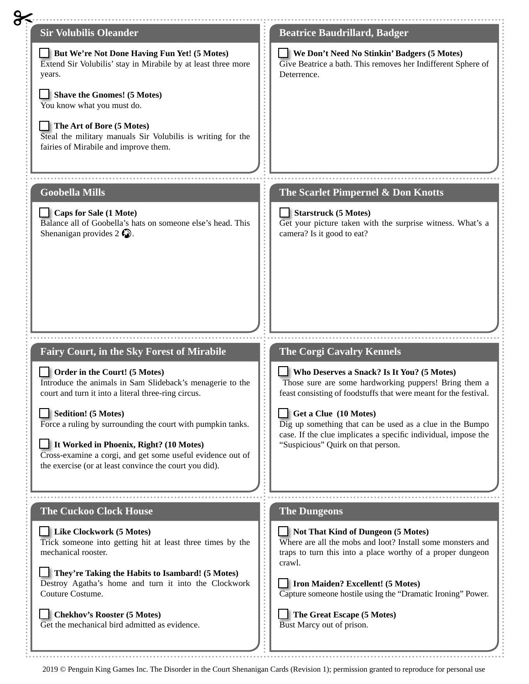| <b>Sir Volubilis Oleander</b>                                                                                                                                                                                                                                                                                                                                                                                                                                   | <b>Beatrice Baudrillard, Badger</b>                                                                                                                                                                                                                                                                                                                                                                     |
|-----------------------------------------------------------------------------------------------------------------------------------------------------------------------------------------------------------------------------------------------------------------------------------------------------------------------------------------------------------------------------------------------------------------------------------------------------------------|---------------------------------------------------------------------------------------------------------------------------------------------------------------------------------------------------------------------------------------------------------------------------------------------------------------------------------------------------------------------------------------------------------|
| But We're Not Done Having Fun Yet! (5 Motes)<br>Extend Sir Volubilis' stay in Mirabile by at least three more<br>years.<br>Shave the Gnomes! (5 Motes)<br>You know what you must do.<br>The Art of Bore (5 Motes)                                                                                                                                                                                                                                               | We Don't Need No Stinkin' Badgers (5 Motes)<br>Give Beatrice a bath. This removes her Indifferent Sphere of<br>Deterrence.                                                                                                                                                                                                                                                                              |
| Steal the military manuals Sir Volubilis is writing for the<br>fairies of Mirabile and improve them.<br><b>Goobella Mills</b>                                                                                                                                                                                                                                                                                                                                   | The Scarlet Pimpernel & Don Knotts                                                                                                                                                                                                                                                                                                                                                                      |
| Caps for Sale (1 Mote)<br>Balance all of Goobella's hats on someone else's head. This<br>Shenanigan provides $2 \bigcirc$ .                                                                                                                                                                                                                                                                                                                                     | Starstruck (5 Motes)<br>Get your picture taken with the surprise witness. What's a<br>camera? Is it good to eat?                                                                                                                                                                                                                                                                                        |
|                                                                                                                                                                                                                                                                                                                                                                                                                                                                 |                                                                                                                                                                                                                                                                                                                                                                                                         |
|                                                                                                                                                                                                                                                                                                                                                                                                                                                                 |                                                                                                                                                                                                                                                                                                                                                                                                         |
| <b>Fairy Court, in the Sky Forest of Mirabile</b><br>Order in the Court! (5 Motes)<br>Introduce the animals in Sam Slideback's menagerie to the<br>court and turn it into a literal three-ring circus.<br>Sedition! (5 Motes)<br>Force a ruling by surrounding the court with pumpkin tanks.<br>It Worked in Phoenix, Right? (10 Motes)<br>Cross-examine a corgi, and get some useful evidence out of<br>the exercise (or at least convince the court you did). | <b>The Corgi Cavalry Kennels</b><br>Who Deserves a Snack? Is It You? (5 Motes)<br>Those sure are some hardworking puppers! Bring them a<br>feast consisting of foodstuffs that were meant for the festival<br>Get a Clue (10 Motes)<br>Dig up something that can be used as a clue in the Bumpo<br>case. If the clue implicates a specific individual, impose the<br>"Suspicious" Quirk on that person. |
|                                                                                                                                                                                                                                                                                                                                                                                                                                                                 |                                                                                                                                                                                                                                                                                                                                                                                                         |
| <b>The Cuckoo Clock House</b>                                                                                                                                                                                                                                                                                                                                                                                                                                   | <b>The Dungeons</b>                                                                                                                                                                                                                                                                                                                                                                                     |
| Like Clockwork (5 Motes)<br>Trick someone into getting hit at least three times by the<br>mechanical rooster.                                                                                                                                                                                                                                                                                                                                                   | Not That Kind of Dungeon (5 Motes)<br>Where are all the mobs and loot? Install some monsters and<br>traps to turn this into a place worthy of a proper dungeon<br>crawl.                                                                                                                                                                                                                                |
| They're Taking the Habits to Isambard! (5 Motes)<br>Destroy Agatha's home and turn it into the Clockwork<br>Couture Costume.                                                                                                                                                                                                                                                                                                                                    | <b>Iron Maiden? Excellent! (5 Motes)</b><br>Capture someone hostile using the "Dramatic Ironing" Power.                                                                                                                                                                                                                                                                                                 |

<sup>2019 ©</sup> Penguin King Games Inc. The Disorder in the Court Shenanigan Cards (Revision 1); permission granted to reproduce for personal use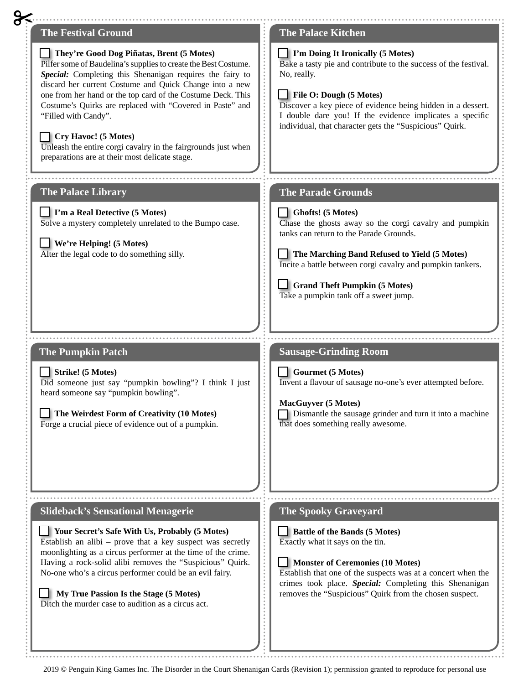

2019 © Penguin King Games Inc. The Disorder in the Court Shenanigan Cards (Revision 1); permission granted to reproduce for personal use